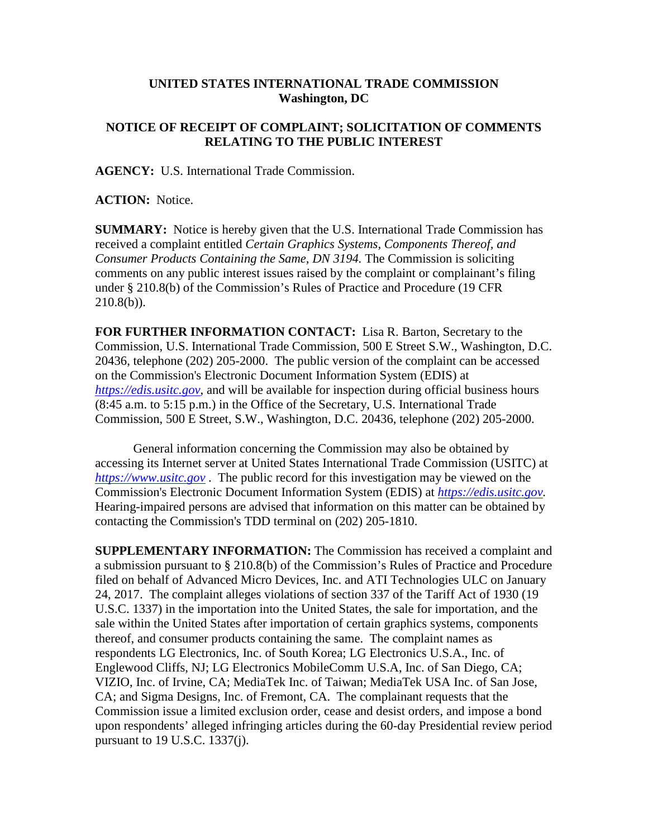## **UNITED STATES INTERNATIONAL TRADE COMMISSION Washington, DC**

## **NOTICE OF RECEIPT OF COMPLAINT; SOLICITATION OF COMMENTS RELATING TO THE PUBLIC INTEREST**

**AGENCY:** U.S. International Trade Commission.

**ACTION:** Notice.

**SUMMARY:** Notice is hereby given that the U.S. International Trade Commission has received a complaint entitled *Certain Graphics Systems, Components Thereof, and Consumer Products Containing the Same, DN 3194.* The Commission is soliciting comments on any public interest issues raised by the complaint or complainant's filing under § 210.8(b) of the Commission's Rules of Practice and Procedure (19 CFR  $210.8(b)$ ).

**FOR FURTHER INFORMATION CONTACT:** Lisa R. Barton, Secretary to the Commission, U.S. International Trade Commission, 500 E Street S.W., Washington, D.C. 20436, telephone (202) 205-2000. The public version of the complaint can be accessed on the Commission's Electronic Document Information System (EDIS) at *[https://edis.usitc.gov](https://edis.usitc.gov/)*, and will be available for inspection during official business hours (8:45 a.m. to 5:15 p.m.) in the Office of the Secretary, U.S. International Trade Commission, 500 E Street, S.W., Washington, D.C. 20436, telephone (202) 205-2000.

General information concerning the Commission may also be obtained by accessing its Internet server at United States International Trade Commission (USITC) at *[https://www.usitc.gov](https://www.usitc.gov/)* . The public record for this investigation may be viewed on the Commission's Electronic Document Information System (EDIS) at *[https://edis.usitc.gov.](https://edis.usitc.gov/)* Hearing-impaired persons are advised that information on this matter can be obtained by contacting the Commission's TDD terminal on (202) 205-1810.

**SUPPLEMENTARY INFORMATION:** The Commission has received a complaint and a submission pursuant to § 210.8(b) of the Commission's Rules of Practice and Procedure filed on behalf of Advanced Micro Devices, Inc. and ATI Technologies ULC on January 24, 2017. The complaint alleges violations of section 337 of the Tariff Act of 1930 (19 U.S.C. 1337) in the importation into the United States, the sale for importation, and the sale within the United States after importation of certain graphics systems, components thereof, and consumer products containing the same. The complaint names as respondents LG Electronics, Inc. of South Korea; LG Electronics U.S.A., Inc. of Englewood Cliffs, NJ; LG Electronics MobileComm U.S.A, Inc. of San Diego, CA; VIZIO, Inc. of Irvine, CA; MediaTek Inc. of Taiwan; MediaTek USA Inc. of San Jose, CA; and Sigma Designs, Inc. of Fremont, CA. The complainant requests that the Commission issue a limited exclusion order, cease and desist orders, and impose a bond upon respondents' alleged infringing articles during the 60-day Presidential review period pursuant to 19 U.S.C. 1337(j).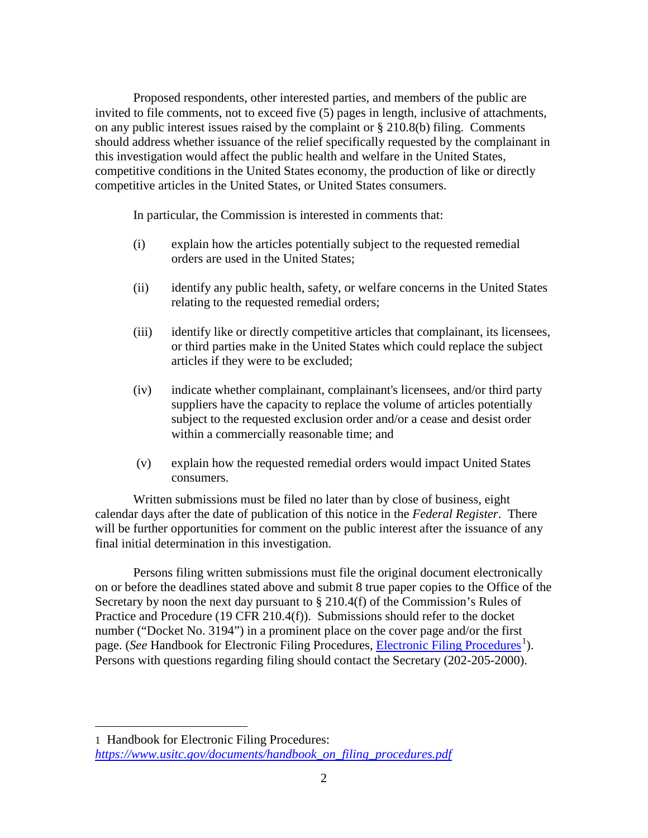Proposed respondents, other interested parties, and members of the public are invited to file comments, not to exceed five (5) pages in length, inclusive of attachments, on any public interest issues raised by the complaint or § 210.8(b) filing. Comments should address whether issuance of the relief specifically requested by the complainant in this investigation would affect the public health and welfare in the United States, competitive conditions in the United States economy, the production of like or directly competitive articles in the United States, or United States consumers.

In particular, the Commission is interested in comments that:

- (i) explain how the articles potentially subject to the requested remedial orders are used in the United States;
- (ii) identify any public health, safety, or welfare concerns in the United States relating to the requested remedial orders;
- (iii) identify like or directly competitive articles that complainant, its licensees, or third parties make in the United States which could replace the subject articles if they were to be excluded;
- (iv) indicate whether complainant, complainant's licensees, and/or third party suppliers have the capacity to replace the volume of articles potentially subject to the requested exclusion order and/or a cease and desist order within a commercially reasonable time; and
- (v) explain how the requested remedial orders would impact United States consumers.

Written submissions must be filed no later than by close of business, eight calendar days after the date of publication of this notice in the *Federal Register*. There will be further opportunities for comment on the public interest after the issuance of any final initial determination in this investigation.

Persons filing written submissions must file the original document electronically on or before the deadlines stated above and submit 8 true paper copies to the Office of the Secretary by noon the next day pursuant to  $\S 210.4(f)$  of the Commission's Rules of Practice and Procedure (19 CFR 210.4(f)). Submissions should refer to the docket number ("Docket No. 3194") in a prominent place on the cover page and/or the first page. (*See* Handbook for [Electronic Filing Procedures](http://www.usitc.gov/secretary/fed_reg_notices/rules/handbook_on_electronic_filing.pdf), *Electronic Filing Procedures*<sup>[1](#page-1-0)</sup>). Persons with questions regarding filing should contact the Secretary (202-205-2000).

 $\overline{a}$ 

<span id="page-1-0"></span><sup>1</sup> Handbook for Electronic Filing Procedures: *[https://www.usitc.gov/documents/handbook\\_on\\_filing\\_procedures.pdf](https://www.usitc.gov/documents/handbook_on_filing_procedures.pdf)*